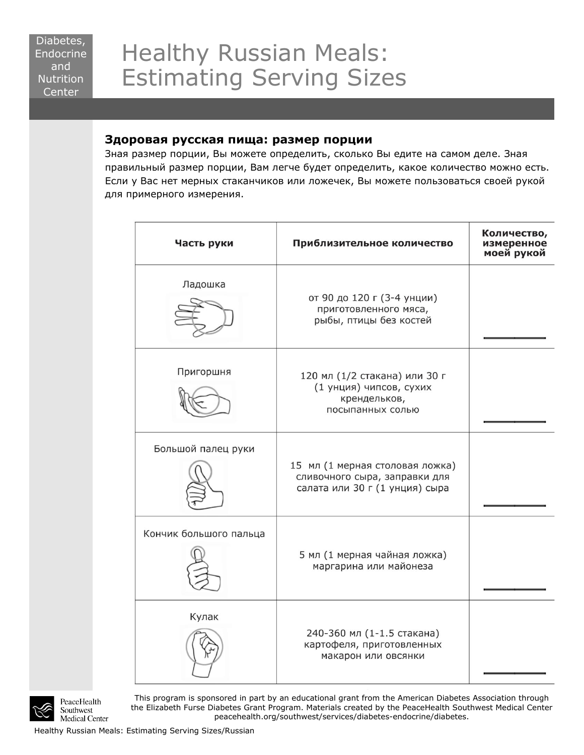## Healthy Russian Meals: Estimating Serving Sizes

## **Здоровая русская пища: размер порции**

Зная размер порции, Вы можете определить, сколько Вы едите на самом деле. Зная правильный размер порции, Вам легче будет определить, какое количество можно есть. Если у Вас нет мерных стаканчиков или ложечек, Вы можете пользоваться своей рукой для примерного измерения.

| Часть руки             | Приблизительное количество                                                                         | Количество,<br>измеренное<br>моей рукой |
|------------------------|----------------------------------------------------------------------------------------------------|-----------------------------------------|
| Ладошка                | от 90 до 120 г (3-4 унции)<br>приготовленного мяса,<br>рыбы, птицы без костей                      |                                         |
| Пригоршня              | 120 мл (1/2 стакана) или 30 г<br>(1 унция) чипсов, сухих<br>крендельков,<br>посыпанных солью       |                                         |
| Большой палец руки     | 15 мл (1 мерная столовая ложка)<br>сливочного сыра, заправки для<br>салата или 30 г (1 унция) сыра |                                         |
| Кончик большого пальца | 5 мл (1 мерная чайная ложка)<br>маргарина или майонеза                                             |                                         |
| Кулак                  | 240-360 мл (1-1.5 стакана)<br>картофеля, приготовленных<br>макарон или овсянки                     |                                         |



PeaceHealth Southwest Medical Center

This program is sponsored in part by an educational grant from the American Diabetes Association through the Elizabeth Furse Diabetes Grant Program. Materials created by the PeaceHealth Southwest Medical Center peacehealth.org/southwest/services/diabetes-endocrine/diabetes.